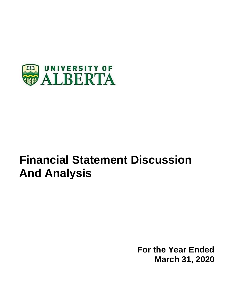

# **Financial Statement Discussion And Analysis**

**For the Year Ended March 31, 2020**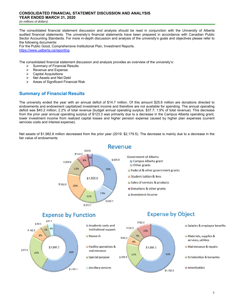The consolidated financial statement discussion and analysis should be read in conjunction with the University of Alberta audited financial statements. The university's financial statements have been prepared in accordance with Canadian Public Sector Accounting Standards. For more in-depth discussion and analysis of the university's goals and objectives please refer to the following documents:

For the Public Good, Comprehensive Institutional Plan, Investment Reports. https://www.ualberta.ca/reporting

The consolidated financial statement discussion and analysis provides an overview of the university's:

- $\geq$  Summary of Financial Results<br>  $\geq$  Revenue and Expense
- Revenue and Expense
- Capital Acquisitions
- $\triangleright$  Net Assets and Net Debt
- > Areas of Significant Financial Risk

# **Summary of Financial Results**

The university ended the year with an annual deficit of \$14.7 million. Of this amount \$25.6 million are donations directed to endowments and endowment capitalized investment income and therefore are not available for spending. The annual operating deficit was \$40.2 million; 2.2% of total revenue (budget annual operating surplus: \$37.7; 1.9% of total revenue). This decrease from the prior year annual operating surplus of \$123.3 was primarily due to a decrease in the Campus Alberta operating grant, lower investment income from realized capital losses and higher pension expense caused by higher plan expenses (current services costs and interest expense).

Net assets of \$1,982.8 million decreased from the prior year (2019: \$2,179.5). The decrease is mainly due to a decrease in the fair value of endowments.

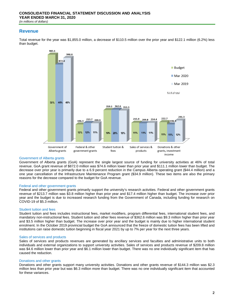## **Revenue**

Total revenue for the year was \$1,855.0 million, a decrease of \$110.5 million over the prior year and \$122.1 million (6.2%) less than budget.



#### Government of Alberta grants

Government of Alberta grants (GoA) represent the single largest source of funding for university activities at 46% of total revenue. GoA grant revenue of \$872.0 million was \$74.6 million lower than prior year and \$111.1 million lower than budget. The decrease over prior year is primarily due to a 6.9 percent reduction in the Campus Alberta operating grant (\$44.4 million) and a one year cancellation of the Infrastructure Maintenance Program grant (\$34.9 million). These two items are also the primary reasons for the decrease compared to the budget for GoA revenue.

#### Federal and other government grants

Federal and other government grants primarily support the university's research activities. Federal and other government grants revenue of \$213.7 million was \$3.8 million higher than prior year and \$17.4 million higher than budget. The increase over prior year and the budget is due to increased research funding from the Government of Canada, including funding for research on COVID-19 of \$5.3 million.

#### Student tuition and fees

Student tuition and fees includes instructional fees, market modifiers, program differential fees, international student fees, and mandatory non-instructional fees. Student tuition and other fees revenue of \$362.6 million was \$9.3 million higher than prior year and \$3.5 million higher than budget. The increase over prior year and the budget is mainly due to higher international student enrolment. In the October 2019 provincial budget the GoA announced that the freeze of domestic tuition fees has been lifted and institutions can raise domestic tuition beginning in fiscal year 2021 by up to 7% per year for the next three years.

#### Sales of services and products

Sales of services and products revenues are generated by ancillary services and faculties and administrative units to both individuals and external organizations to support university activities. Sales of services and products revenue of \$209.8 million was \$4.6 million lower than prior year and \$6.1 million lower than budget. There was no one individually significant item that has caused the reduction.

#### Donations and other grants

Donations and other grants support many university activities. Donations and other grants revenue of \$144.3 million was \$2.3 million less than prior year but was \$6.3 million more than budget. There was no one individually significant item that accounted for these variances.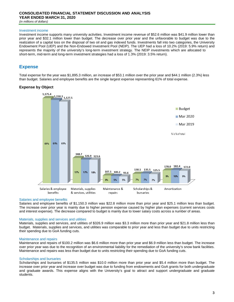# **CONSOLIDATED FINANCIAL STATEMENT DISCUSSION AND ANALYSIS YEAR ENDED MARCH 31, 2020**

*(in millions of dollars)*

#### Investment income

Investment income supports many university activities. Investment income revenue of \$52.6 million was \$41.9 million lower than prior year and \$32.1 million lower than budget. The decrease over prior year and the unfavorable to budget was due to the realization of a capital loss on the disposal of two oil and gas indexed funds. Investments fall into two categories, the University Endowment Pool (UEP) and the Non-Endowed Investment Pool (NEIP). The UEP had a loss of 10.2% (2019: 5.9% return) and represents the majority of the university's long-term investment strategy. The NEIP investments which are allocated to short-term, mid-term and long-term investment strategies had a loss of 1.3% (2019: 3.5% return).

# **Expense**

Total expense for the year was \$1,895.3 million, an increase of \$53.1 million over the prior year and \$44.1 million (2.3%) less than budget. Salaries and employee benefits are the single largest expense representing 61% of total expense.

### **Expense by Object**



#### Salaries and employee benefits

Salaries and employee benefits of \$1,150.3 million was \$22.8 million more than prior year and \$25.1 million less than budget. The increase over prior year is mainly due to higher pension expense caused by higher plan expenses (current services costs and interest expense). The decrease compared to budget is mainly due to lower salary costs across a number of areas.

#### Materials, supplies and services and utilities

Materials, supplies and services, and utilities of \$326.9 million was \$3.3 million more than prior year and \$21.8 million less than budget. Materials, supplies and services, and utilities was comparable to prior year and less than budget due to units restricting their spending due to GoA funding cuts.

#### Maintenance and repairs

Maintenance and repairs of \$100.2 million was \$6.6 million more than prior year and \$6.9 million less than budget. The increase over prior year was due to the recognition of an environmental liability for the remediation of the university's snow bank facilities. Maintenance and repairs was less than budget due to units restricting their spending due to GoA funding cuts.

#### Scholarships and bursaries

Scholarships and bursaries of \$135.5 million was \$10.0 million more than prior year and \$5.4 million more than budget. The increase over prior year and increase over budget was due to funding from endowments and GoA grants for both undergraduate and graduate awards. This expense aligns with the University's goal to attract and support undergraduate and graduate students.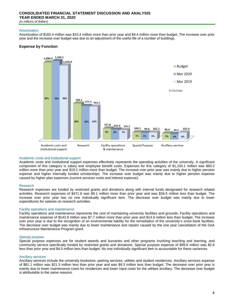# **CONSOLIDATED FINANCIAL STATEMENT DISCUSSION AND ANALYSIS YEAR ENDED MARCH 31, 2020**

*(in millions of dollars)*

#### Amortization

Amortization of \$182.4 million was \$10.4 million more than prior year and \$4.4 million more than budget. The increase over prior year and the increase over budget was due to an adjustment of the useful life of a number of buildings.

### **Expense by Function**



#### Academic costs and institutional support

Academic costs and institutional support expenses effectively represents the operating activities of the university. A significant component of this category is salary and employee benefit costs. Expenses for this category of \$1,100.1 million was \$60.2 million more than prior year and \$19.2 million more than budget. The increase over prior year was mainly due to higher pension expense and higher internally funded scholarships. The increase over budget was mainly due to higher pension expense caused by higher plan expenses (current services costs and interest expense).

#### Research

Research expenses are funded by restricted grants and donations along with internal funds designated for research related activities. Research expenses of \$471.6 was \$9.1 million more than prior year and was \$34.5 million less than budget. The increase over prior year has no one individually significant item. The decrease over budget was mainly due to lower expenditures for salaries on research activities.

#### Facility operations and maintenance

Facility operations and maintenance represents the cost of maintaining university facilities and grounds. Facility operations and maintenance expense of \$142.9 million was \$7.7 million more than prior year and \$14.9 million less than budget. The increase over prior year is due to the recognition of an environmental liability for the remediation of the university's snow bank facilities. The decrease over budget was mainly due to lower maintenance and repairs caused by the one year cancellation of the GoA Infrastructure Maintenance Program grant.

#### Special purpose

Special purpose expenses are for student awards and bursaries and other programs involving teaching and learning, and community service specifically funded by restricted grants and donations. Special purpose expense of \$99.6 million was \$2.6 less than prior year and \$4.5 million less than budget. No one individually significant item is accountable for these variances.

#### Ancillary services

Ancillary services include the university bookstore, parking services, utilities and student residences. Ancillary services expense of \$81.1 million was \$21.3 million less than prior year and was \$9.3 million less than budget. The decrease over prior year is mainly due to lower maintenance costs for residences and lower input costs for the utilities ancillary. The decrease over budget is attributable to the same reasons.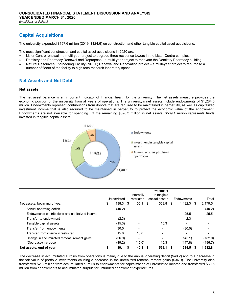# **Capital Acquisitions**

The university expended \$157.6 million (2019: \$124.6) on construction and other tangible capital asset acquisitions.

The most significant construction and capital asset acquisitions in 2020 are:

- Lister Centre renewal a multi-year project to upgrade three residence towers in the Lister Centre complex.
- Dentistry and Pharmacy Renewal and Repurpose a multi-year project to renovate the Dentistry Pharmacy building.
- Natural Resources Engineering Facility (NREF) Renewal and Renovation project a multi-year project to repurpose a number of floors of the facility to high tech research laboratory space.

# **Net Assets and Net Debt**

#### **Net assets**

The net asset balance is an important indicator of financial health for the university. The net assets measure provides the economic position of the university from all years of operations. The university's net assets include endowments of \$1,284.5 million. Endowments represent contributions from donors that are required to be maintained in perpetuity, as well as capitalized investment income that is also required to be maintained in perpetuity to protect the economic value of the endowment. Endowments are not available for spending. Of the remaining \$698.3 million in net assets, \$569.1 million represents funds invested in tangible capital assets.



|                                                 |              |        | Internally               |                | Investment<br>in tangible |                    |         |
|-------------------------------------------------|--------------|--------|--------------------------|----------------|---------------------------|--------------------|---------|
|                                                 | Unrestricted |        | restricted               | capital assets |                           | Endowments         | Total   |
| Net assets, beginning of year                   | \$           | 138.3  | \$<br>55.1               | \$             | 553.8                     | \$<br>1,432.3<br>S | 2,179.5 |
| Annual operating deficit                        |              | (40.2) | $\overline{\phantom{0}}$ |                |                           |                    | (40.2)  |
| Endowments contributions and capitalized income |              | ۰      |                          |                |                           | 25.5               | 25.5    |
| Transfer to endowment                           |              | (2.3)  |                          |                |                           | 2.3                |         |
| Tangible capital assets                         |              | (15.3) |                          |                | 15.3                      |                    |         |
| Transfer from endowments                        |              | 30.5   |                          |                |                           | (30.5)             |         |
| Transfer from internally restricted             |              | 15.0   | (15.0)                   |                |                           |                    |         |
| Change in accumulated remeasurement gains       |              | (36.9) |                          |                |                           | (145.1)            | (182.0) |
| (Decrease) increase                             |              | (49.2) | (15.0)                   |                | 15.3                      | (147.8)            | (196.7) |
| Net assets, end of year                         |              | 89.1   | 40.1                     |                | 569.1                     | 1,284.5            | 1,982.8 |

The decrease in accumulated surplus from operations is mainly due to the annual operating deficit (\$40.2) and to a decrease in the fair value of portfolio investments causing a decrease in the unrealized remeasurement gains (\$36.9). The university also transferred \$2.3 million from accumulated surplus to endowments for capitalization of unrestricted income and transferred \$30.5 million from endowments to accumulated surplus for unfunded endowment expenditures.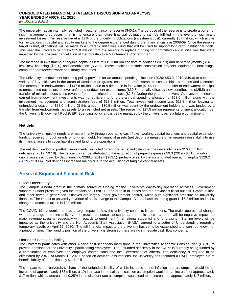#### **CONSOLIDATED FINANCIAL STATEMENT DISCUSSION AND ANALYSIS YEAR ENDED MARCH 31, 2020** *(in millions of dollars)*

The university has an internally restricted investment income reserve (\$40.1). The purpose of the reserve is to create a buffer for risk management purposes; that is, to ensure that future financial obligations can be fulfilled in the event of significant investment losses. The reserve target is 17% of the underlying obligations (investment cost), currently \$87 million, which allows for fluctuations in capital and equity markets to the degree experienced during the financial crisis in 2008-09. Once the reserve target is met, allocations will be made to a Strategic Initiatives Fund that will be used to support long-term institutional goals. This year the university withdrew \$15.0 million from the reserve to replace funding for committed capital initiatives that were impacted by the one year cancellation of the Infrastructure Maintenance Program grant.

The increase in investment in tangible capital assets of \$15.3 million consists of additions (\$87.3) and debt repayments (\$14.5), less new financing (\$20.0) and amortization (\$66.5). These additions include construction projects, equipment, furnishings, computer hardware/software and library resources.

The university's endowment spending policy provides for an annual spending allocation (2020: \$53.0; 2019: \$49.0) to support a variety of key initiatives in the areas of academic programs, chairs and professorships, scholarships, bursaries and research. The decrease in endowments of \$147.8 million is due to a decrease in fair value (\$145.1) and a transfer of endowment principal to unrestricted net assets to cover unfunded endowment expenditures (\$30.5), partially offset by new contributions (\$25.5) and a transfer of miscellaneous sales revenue from unrestricted net assets (\$2.3). During the year the university's investment income earned from endowment investments was not sufficient to fund the annual spending allocation of \$53.0 million along with the investment management and administration fees of \$18.8 million. Total investment income was \$13.8 million leaving an unfunded allocation of \$58.0 million. Of this amount, \$30.5 million was spent by the endowment holders and was funded by a transfer from endowments net assets to unrestricted net assets. The remaining \$27.5 million represents unspent allocation per the University Endowment Pool (UEP) Spending policy and is being managed by the university as is a future commitment.

#### **Net debt**

The university's liquidity needs are met primarily through operating cash flows, working capital balances and capital expansion funding received through grants or long-term debt. Net financial assets (net debt) is a measure of an organization's ability to use its financial assets to cover liabilities and fund future operations.

The net debt (excluding portfolio investments restricted for endowments) indicates that the university has a \$168.6 million deficiency (2019: \$97.8). The deficiency can be attributed to the acquisition of prepaid expenses \$9.3 (2019 - \$8.1), tangible capital assets acquired by debt financing \$288.5 (2019 - \$283.1), partially offset by the accumulated operating surplus \$129.2 (2019 - \$193.4). Net debt has increased mainly due to the acquisition of tangible capital assets.

# **Areas of Significant Financial Risk**

#### Fiscal Uncertainty

The Campus Alberta grant is the primary source of funding for the university's day-to-day operating activities. Government support is under pressure given the impacts of COVID-19, the drop in oil prices and the province's fiscal outlook. Grants, tuition and other revenue generation initiatives are largely under government control, which puts significant pressure on university finances. The impact to university revenue of a 1% change to the Campus Alberta base operating grant is \$6.2 million and a 1% change to domestic tuition is \$2.0 million.

The COVID-19 pandemic has had a large impact in how the university conducts its operations. The major operational change was the change to on-line delivery of instructional courses to students. It is anticipated that there will be negative impacts to major revenue streams, especially with regards to enrollment (international students) and fundraising. Staffing levels will be impacted as the university and the Non-Academic Staff Association (NASA) agreed to a Letter of Understanding regarding temporary layoffs on April 15, 2020. The full financial impact to the university has yet to be established and won't be known for a period of time. The liquidity position of the university is strong so there are no immediate cash flow concerns.

#### Unfunded Pension Liability

The university participates with other Alberta post-secondary institutions in the Universities Academic Pension Plan (UAPP) to provide pensions for the university's participating employees. The unfunded deficiency in the UAPP is currently being funded by a combination of employee and employer contributions and the Government of Alberta. The deficiency is required to be eliminated by 2043. At March 31, 2020, based on actuarial assumptions, the university has recorded a UAPP employee future benefit liability of approximately \$116 million.

The impact to the university's share of the unfunded liability of a 1% increase in the inflation rate assumption would be an increase of approximately \$83 million, a 1% increase in the salary escalation assumption would be an increase of approximately \$17 million, while a decrease of 0.25% in the discount rate assumption would lead to an increase of approximately \$47 million.